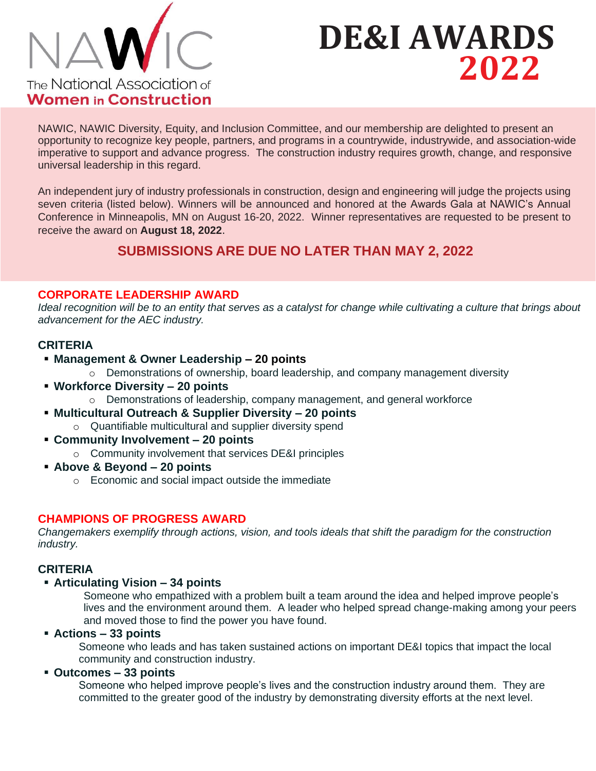

# **DE&I AWARDS 2022**

NAWIC, NAWIC Diversity, Equity, and Inclusion Committee, and our membership are delighted to present an opportunity to recognize key people, partners, and programs in a countrywide, industrywide, and association-wide imperative to support and advance progress. The construction industry requires growth, change, and responsive universal leadership in this regard.

An independent jury of industry professionals in construction, design and engineering will judge the projects using seven criteria (listed below). Winners will be announced and honored at the Awards Gala at NAWIC's Annual Conference in Minneapolis, MN on August 16-20, 2022. Winner representatives are requested to be present to receive the award on **August 18, 2022**.

# **SUBMISSIONS ARE DUE NO LATER THAN MAY 2, 2022**

# **CORPORATE LEADERSHIP AWARD**

*Ideal recognition will be to an entity that serves as a catalyst for change while cultivating a culture that brings about advancement for the AEC industry.*

# **CRITERIA**

- **Management & Owner Leadership – 20 points**
	- o Demonstrations of ownership, board leadership, and company management diversity
- **Workforce Diversity – 20 points**
	- o Demonstrations of leadership, company management, and general workforce
- **Multicultural Outreach & Supplier Diversity – 20 points**
	- o Quantifiable multicultural and supplier diversity spend
- **Community Involvement – 20 points**
	- o Community involvement that services DE&I principles
- **Above & Beyond – 20 points**
	- o Economic and social impact outside the immediate

#### **CHAMPIONS OF PROGRESS AWARD**

*Changemakers exemplify through actions, vision, and tools ideals that shift the paradigm for the construction industry.*

#### **CRITERIA**

#### ▪ **Articulating Vision – 34 points**

Someone who empathized with a problem built a team around the idea and helped improve people's lives and the environment around them. A leader who helped spread change-making among your peers and moved those to find the power you have found.

#### ▪ **Actions – 33 points**

Someone who leads and has taken sustained actions on important DE&I topics that impact the local community and construction industry.

#### ▪ **Outcomes – 33 points**

Someone who helped improve people's lives and the construction industry around them. They are committed to the greater good of the industry by demonstrating diversity efforts at the next level.